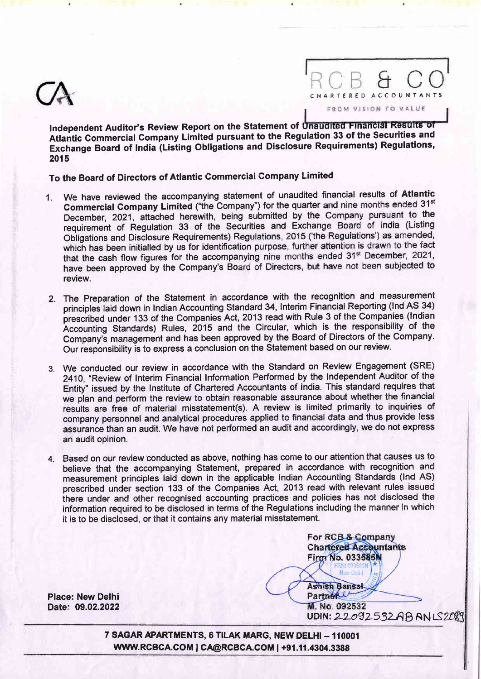

RCB & CO FROM VISION TO VALUE

Independent Auditor's Review Report on the Statement of Unaudited Financial Results of Alantic Gommercial Gompany Limited pursuant to the Regulation 33 of the Securities and Exchange Board of India (Listing Obligations and Disclosure Requirements) Regulations, 2015

To the Board of Directors of Atlantic Commercial Company Limited

- 1. We have reviewed the accompanying statement of unaudited financial results of Atlantic Commercial Company Limited ("the Company") for the quarter and nine months ended 31st December, 2021, attached herewith, being submitted by the Company pursuant to the requirement of Regulation 33 of the Securities and Exchange Board of India (Listing Obligations and Disclosure Requirements) Regulations, 2015 ('the Regulations') as amended, which has been initialled by us for identification purpose, further attention is drawn to the fact that the cash flow figures for the accompanying nine months ended 31<sup>st</sup> December, 2021, have been approved by the Company's Board of Directors, but have not been subjected to review.
- 2. The Preparation of the Statement in accordance with the recognition and measurement principles laid down in Indian Accounting Standard 34, Interim Financial Reporting (lnd AS 34) presciibed under 133 of the Companies Act, 2013 read with Rule 3 of the Companies (lndian Accounting Standards) Rules, 2015 and the Circular, which is the responsibility of the Company's management and has been approved by the Board of Directors of the Company. Our responsibility is to express a conclusion on the Statement based on our review.
- 3. We conducted our review in accordance with the Standard on Review Engagement (SRE) 2410, "Review of Interim Financial Inforrnation Performed by the Independent Auditor of the Entity" issued by the Institute of Chartered Accountants of India. This standard requires that we pian and perform the review to obtain reasonable assurance about whethen the financial results are free of material misstatement(s). A review is limited primarily to inquiries of company personnel and analytical procedures applied to financial data and thus provide less assurance than an audit. We have not performed an audit and accordingly, we do not express an audit opinion.
- 4. Based on our review conducted as above, nothing has come to our attention that eauses us to believe that the accompanying Statement, prepared in accordance with recognition and measurement principles laid down in the applicable Indian Accounting Standards (Ind AS) prescribed under section 133 of the Companies Act, 2013 read with relevant rules issued there under and other recognised accounting practices and policies has not disclosed the information required to be disclosed in terms of the Regulations including the manner in which it is to be disclosed, or that it contains any material misstatement.

For RCB & Company **Chartered Accountants Firm No. 033585N Klaus Paul** 

**Ashish Bansal** Partner

Place: New Delhi Date: 09.02.2022

M. No. 092532 UDIN: 22092532AB AN LS2089

7 SAGAR APARTMENTS, 6 TILAK MARG, NEW DELHI - 110001 WWW.RCBCA.COM | CA@RCBCA.COM | +91.11.4304.3388